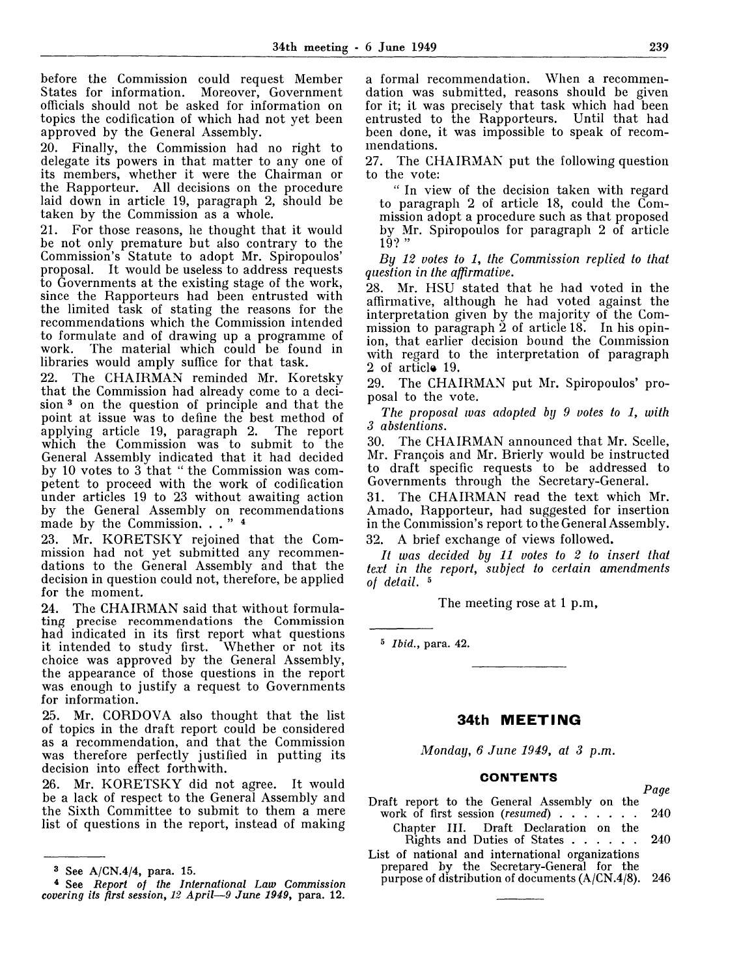before the Commission could request Member<br>States for information. Moreover, Government States for information. officials should not be asked for information on topics the codification of which had not yet been approved by the General Assembly.

20. Finally, the Commission had no right to delegate its powers in that matter to any one of its members, whether it were the Chairman or the Rapporteur. All decisions on the procedure laid down in article 19, paragraph 2, should be taken by the Commission as a whole.

21. For those reasons, he thought that it would be not only premature but also contrary to the Commission's Statute to adopt Mr. Spiropoulos' proposal. It would be useless to address requests to Governments at the existing stage of the work, since the Rapporteurs had been entrusted with the limited task of stating the reasons for the recommendations which the Commission intended to formulate and of drawing up a programme of work. The material which could be found in libraries would amply suffice for that task.

22. The CHAIRMAN reminded Mr. Koretsky that the Commission had already come to a decision<sup>3</sup> on the question of principle and that the point at issue was to define the best method of applying article 19, paragraph 2. The report applying article 19, paragraph 2. which the Commission was to submit to the General Assembly indicated that it had decided by 10 votes to 3 that " the Commission was competent to proceed with the work of codification under articles 19 to 23 without awaiting action by the General Assembly on recommendations made by the Commission. . . " 4

23. Mr. KORETSKY rejoined that the Commission had not yet submitted any recommendations to the General Assembly and that the decision in question could not, therefore, be applied for the moment.

24. The CHAIRMAN said that without formulating precise recommendations the Commission had indicated in its first report what questions it intended to study first. Whether or not its choice was approved by the General Assembly, the appearance of those questions in the report was enough to justify a request to Governments for information.

25. Mr. CORDOVA also thought that the list of topics in the draft report could be considered as a recommendation, and that the Commission was therefore perfectly justified in putting its decision into effect forthwith.

26. Mr. KORETSKY did not agree. It would be a lack of respect to the General Assembly and the Sixth Committee to submit to them a mere list of questions in the report, instead of making a formal recommendation. When a recommendation was submitted, reasons should be given for it; it was precisely that task which had been entrusted to the Rapporteurs. Until that had been done, it was impossible to speak of recommendations.

27. The CHAIRMAN put the following question to the vote:

" In view of the decision taken with regard to paragraph 2 of article 18, could the Commission adopt a procedure such as that proposed by Mr. Spiropoulos for paragraph 2 of article  $19?$  "

*By 12 votes to 1, the Commission replied to that question in the affirmative.*

28. Mr. HSU stated that he had voted in the affirmative, although he had voted against the interpretation given by the majority of the Commission to paragraph  $\ddot{2}$  of article 18. In his opinion, that earlier decision bound the Commission with regard to the interpretation of paragraph 2 of article 19.

29. The CHAIRMAN put Mr. Spiropoulos' proposal to the vote.

*The proposal was adopted by 9 votes to 1, with 3 abstentions.*

30. The CHAIRMAN announced that Mr. Scelle, Mr. Francois and Mr. Brierly would be instructed to draft specific requests to be addressed to Governments through the Secretary-General.

31. The CHAIRMAN read the text which Mr. Amado, Rapporteur, had suggested for insertion in the Commission's report to the General Assembly. 32. A brief exchange of views followed.

*It was decided by 11 votes to 2 to insert that text in the report, subject to certain amendments of detail.*<sup>5</sup>

The meeting rose at 1 p.m,

5  *Ibid.,* para. 42.

## **34th MEETING**

*Monday, 6 June 1949, at 3 p.m.*

#### **CONTENTS**

Draft report to the General Assembly on the work of first session (resumed) . . . . . . 240

Chapter III. Draft Declaration on the Rights and Duties of States . . . . . . 240

List of national and international organizations prepared by the Secretary-General for the purpose of distribution of documents  $(A/CN.4/8)$ . 246

*Page*

<sup>3</sup> See A/CN.4/4, para. 15.

<sup>4</sup> See *Report of the International Law Commission covering its first session, 12 April*—*9 June 1949,* para. 12.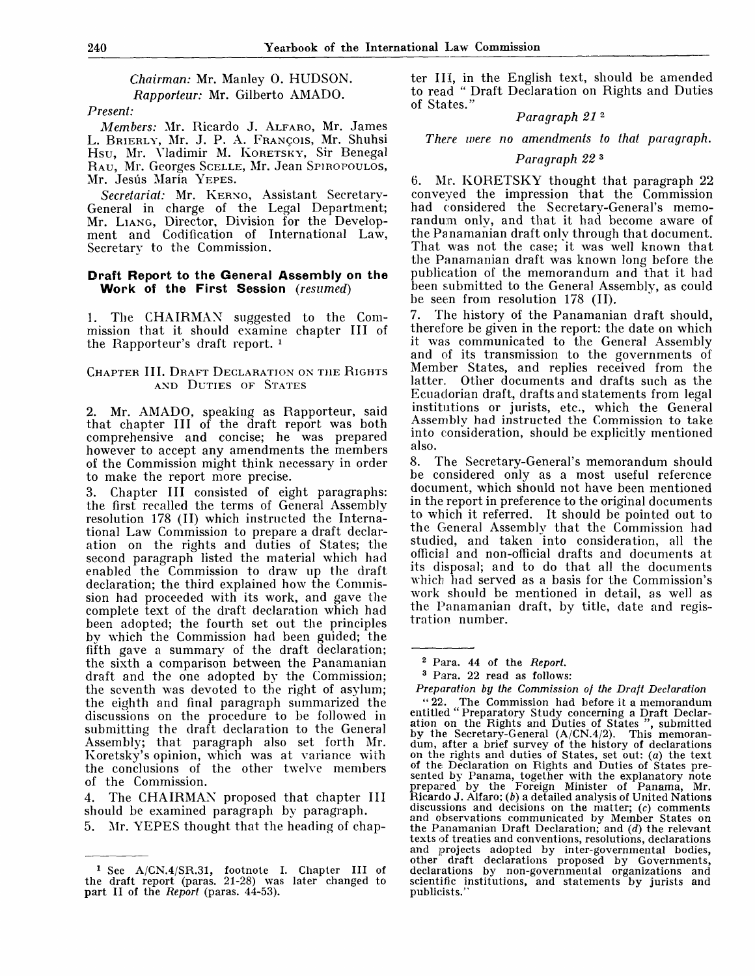*Chairman:* Mr. Manley 0. HUDSON. *Rapporteur: Mr. Gilberto AMADO.* 

### *Present:*

*Members:* Mr. Ricardo J. ALFARO, Mr. James L. BRIERLY, Mr. J. P. A. FRANQOIS, Mr. Shuhsi Hsu, Mr. Vladimir M. KORETSKY, Sir Benegal RAU, Mr. Georges SCELLE, Mr. Jean SPIROPOULOS, Mr. Jesús María YEPES.

*Secretariat:* Mr. KERNO, Assistant Secretary-General in charge of the Legal Department; Mr. LIANG, Director, Division for the Development and Codification of International Law, Secretary to the Commission.

### **Draft Report to the General Assembly on the Work of the First Session** *(resumed)*

1. The CHAIRMAN suggested to the Commission that it should examine chapter III of the Rapporteur's draft report.  *1*

### CHAPTER III. DRAFT DECLARATION ON THE RIGHTS AND DUTIES OF STATES

2. Mr. AMADO, speaking as Rapporteur, said that chapter III of the draft report was both comprehensive and concise; he was prepared however to accept any amendments the members of the Commission might think necessary in order to make the report more precise.

3. Chapter III consisted of eight paragraphs: the first recalled the terms of General Assembly resolution 178 (II) which instructed the International Law Commission to prepare a draft declaration on the rights and duties of States; the second paragraph listed the material which had enabled the Commission to draw up the draft declaration; the third explained how the Commission had proceeded with its work, and gave the complete text of the draft declaration which had been adopted; the fourth set out the principles by which the Commission had been guided; the fifth gave a summary of the draft declaration; the sixth a comparison between the Panamanian draft and the one adopted by the Commission; the seventh was devoted to the right of asylum; the eighth and final paragraph summarized the discussions on the procedure to be followed in submitting the draft declaration to the General Assembly; that paragraph also set forth Mr. Koretsky's opinion, which was at variance with the conclusions of the other twelve members of the Commission.

4. The CHAIRMAN proposed that chapter III should be examined paragraph by paragraph.

5. Mr. YEPES thought that the heading of chap-

ter III, in the English text, should be amended to read " Draft Declaration on Rights and Duties of States."

#### *Paragraph 21*<sup>2</sup>

*There were no amendments to that paragraph.*

#### *Paragraph 22*<sup>3</sup>

6. Mr. KORETSKY thought that paragraph 22 conveyed the impression that the Commission had considered the Secretary-General's memorandum only, and that it had become aware of the Panamanian draft only through that document. That was not the case; it was well known that the Panamanian draft was known long before the publication of the memorandum and that it had been submitted to the General Assembly, as could be seen from resolution 178 (II).

7. The history of the Panamanian draft should, therefore be given in the report: the date on which it was communicated to the General Assembly and of its transmission to the governments of Member States, and replies received from the latter. Other documents and drafts such as the Ecuadorian draft, drafts and statements from legal institutions or jurists, etc., which the General Assembly had instructed the Commission to take into consideration, should be explicitly mentioned also.

8. The Secretary-General's memorandum should be considered only as a most useful reference document, which should not have been mentioned in the report in preference to the original documents to which it referred. It should be pointed out to the General Assembly that the Commission had studied, and taken into consideration, all the official and non-official drafts and documents at its disposal; and to do that all the documents which had served as a basis for the Commission's work should be mentioned in detail, as well as the Panamanian draft, by title, date and registration number.

3 Para. 22 read as follows:

The Commission had before it a memorandum entitled " Preparatory Study concerning a Draft Declaration on the Rights and Duties of States ", submitted by the Secretary-General (A/CN.4/2). This memorandum, after a brief survey of the history of declarations on the rights and duties of States, set out: (a) the text of the Declaration on Rights and Duties of States presented by Panama, together with the explanatory note prepared by the Foreign Minister of Panama, Mr. Ricardo J. Alfaro; *(b)* a detailed analysis of United Nations discussions and decisions on the matter; (c) comments and observations communicated by Member States on the Panamanian Draft Declaration; and *(d)* the relevant texts of treaties and conventions, resolutions, declarations and projects adopted by inter-governmental bodies, other draft declarations proposed by Governments, declarations by non-governmental organizations and scientific institutions, and statements by jurists and publicists."

<sup>1</sup> See A/CN.4/SR.31, footnote I. Chapter **III** of the draft report (paras. 21-28) was later changed to **part II of** the *Report* (paras. 44-53).

<sup>2</sup> Para. 44 of the *Report.*

*Preparation by the Commission of the Draft Declaration*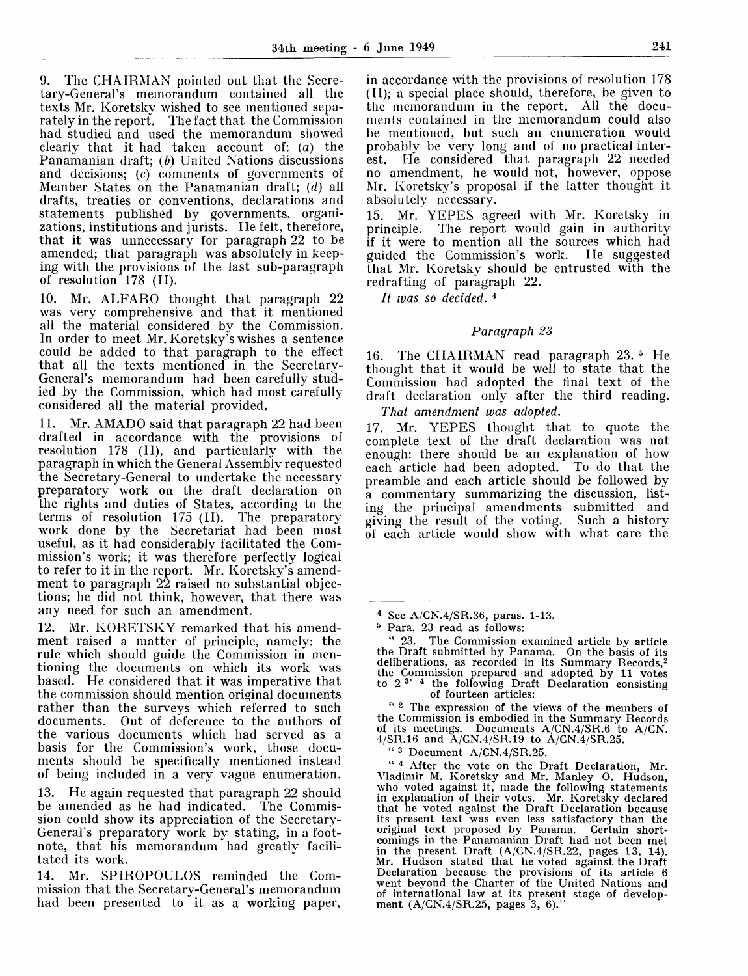9. The CHAIRMAN pointed out that the Secretary-General's memorandum contained all the texts Mr. Koretsky wished to see mentioned separately in the report. The fact that the Commission had studied and used the memorandum showed clearly that it had taken account of: *(a)* the Panamanian draft; *(b)* United Nations discussions and decisions; (c) comments of governments of Member States on the Panamanian draft; *(d)* all drafts, treaties or conventions, declarations and statements published by governments, organizations, institutions and jurists. He felt, therefore, that it was unnecessary for paragraph 22 to be amended; that paragraph was absolutely in keeping with the provisions of the last sub-paragraph of resolution 178 (II).

10. Mr. ALFARO thought that paragraph 22 was very comprehensive and that it mentioned all the material considered by the Commission. In order to meet Mr. Koretsky's wishes a sentence could be added to that paragraph to the effect that all the texts mentioned in the Secretary-General's memorandum had been carefully studied by the Commission, which had most carefully considered all the material provided.

11. Mr. AMADO said that paragraph 22 had been drafted in accordance with the provisions of resolution 178 (II), and particularly with the paragraph in which the General Assembly requested the Secretary-General to undertake the necessary preparatory work on the draft declaration on the rights and duties of States, according to the terms of resolution 175 (II). The preparatory work done by the Secretariat had been most useful, as it had considerably facilitated the Commission's work; it was therefore perfectly logical to refer to it in the report. Mr. Koretsky's amendment to paragraph 22 raised no substantial objections; he did not think, however, that there was any need for such an amendment.

12. Mr. KORETSKY remarked that his amendment raised a matter of principle, namely: the rule which should guide the Commission in mentioning the documents on which its work was based. He considered that it was imperative that the commission should mention original documents rather than the surveys which referred to such documents. Out of deference to the authors of the various documents which had served as a basis for the Commission's work, those documents should be specifically mentioned instead of being included in a very vague enumeration.

13. He again requested that paragraph 22 should be amended as he had indicated. The Commission could show its appreciation of the Secretary-General's preparatory work by stating, in a footnote, that his memorandum had greatly facilitated its work.

14. Mr. SPIROPOULOS reminded the Commission that the Secretary-General's memorandum had been presented to it as a working paper,

in accordance with the provisions of resolution 178 (II); a special place should, therefore, be given to the memorandum in the report. All the documents contained in the memorandum could also be mentioned, but such an enumeration would probably be very long and of no practical interest. He considered that paragraph 22 needed no amendment, he would not, however, oppose Mr. Koretsky's proposal if the latter thought it absolutely necessary.

15. Mr. YEPES agreed with Mr. Koretsky in principle. The report would gain in authority The report would gain in authority if it were to mention all the sources which had guided the Commission's work. He suggested that Mr. Koretsky should be entrusted with the redrafting of paragraph 22.

// *was so decided.*<sup>4</sup>

## *Paragraph 23*

16. The CHAIRMAN read paragraph 23.<sup>5</sup> He thought that it would be well to state that the Commission had adopted the final text of the draft declaration only after the third reading.

*That amendment was adopted.*

17. Mr. YEPES thought that to quote the complete text of the draft declaration was not enough: there should be an explanation of how each article had been adopted. To do that the preamble and each article should be followed by a commentary summarizing the discussion, listing the principal amendments submitted and giving the result of the voting. Such a history of each article would show with what care the

" 23. The Commission examined article by article the Draft submitted by Panama. On the basis of its deliberations, as recorded in its Summary Records,<sup>2</sup> the Commission prepared and adopted by 11 votes<br>to 2<sup>3'</sup> <sup>4</sup> the following Draft Declaration consisting of fourteen articles:

" <sup>2</sup> The expression of the views of the members of the Commission is embodied in the Summary Records of its meetings. Documents A/CN.4/SR.6 'to A/CN. 4/SR.16 and A/CN.4/SR.19 to A/CN.4/SR.25.

" <sup>3</sup> Document A/CN.4/SR.25.

" <sup>4</sup> After the vote on the Draft Declaration, Mr. Vladimir M. Koretsky and Mr. Manley O. Hudson, who voted against it, made the following statements in explanation of their votes. Mr. Koretsky declared that he voted against the Draft Declaration because its present text was even less satisfactory than the original text proposed by Panama. Certain shortcomings in the Panamanian Draft had not been met in the present Draft  $(A/CN.4/SR.22,$  pages 13, 14). Mr. Hudson stated that he voted against the Draft Declaration because the provisions of its article 6 went beyond the Charter of the United Nations and of international law at its present stage of development  $(A/CN.4/SR.25,$  pages  $3, 6$ ).

<sup>4</sup> See A/CN.4/SR.36, paras. 1-13.

<sup>5</sup> Para. 23 read as follows: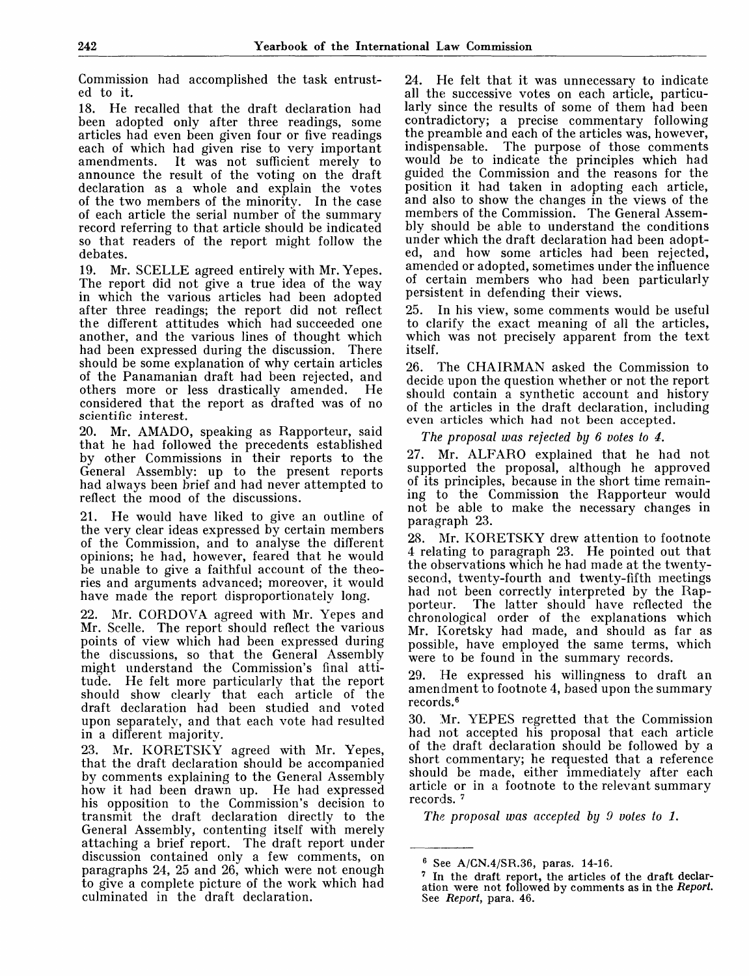Commission had accomplished the task entrusted to it.

18. He recalled that the draft declaration had been adopted only after three readings, some articles had even been given four or five readings each of which had given rise to very important amendments. It was not sufficient merely to announce the result of the voting on the draft declaration as a whole and explain the votes of the two members of the minority. In the case of each article the serial number of the summary record referring to that article should be indicated so that readers of the report might follow the debates.

19. Mr. SCELLE agreed entirely with Mr. Yepes. The report did not give a true idea of the way in which the various articles had been adopted after three readings; the report did not reflect the different attitudes which had succeeded one another, and the various lines of thought which had been expressed during the discussion. There should be some explanation of why certain articles of the Panamanian draft had been rejected, and others more or less drastically amended. He considered that the report as drafted was of no scientific interest.

20. Mr. AMADO, speaking as Rapporteur, said that he had followed the precedents established by other Commissions in their reports to the General Assembly: up to the present reports had always been brief and had never attempted to reflect the mood of the discussions.

21. He would have liked to give an outline of the very clear ideas expressed by certain members of the Commission, and to analyse the different opinions; he had, however, feared that he would be unable to give a faithful account of the theories and arguments advanced; moreover, it would have made the report disproportionately long.

22. Mr. CORDOVA agreed with Mr. Yepes and Mr. Scelle. The report should reflect the various points of view which had been expressed during the discussions, so that the General Assembly might understand the Commission's final attitude. He felt more particularly that the report should show clearly that each article of the draft declaration had been studied and voted upon separately, and that each vote had resulted in a different majority.

23. Mr. KORETSKY agreed with Mr. Yepes, that the draft declaration should be accompanied by comments explaining to the General Assembly how it had been drawn up. He had expressed his opposition to the Commission's decision to transmit the draft declaration directly to the General Assembly, contenting itself with merely attaching a brief report. The draft report under discussion contained only a few comments, on paragraphs 24, 25 and 26, which were not enough paragraphs 21, 20 and 20, which were not enough. culminated in the draft declaration.

24. He felt that it was unnecessary to indicate all the successive votes on each article, particularly since the results of some of them had been contradictory; a precise commentary following the preamble and each of the articles was, however, indispensable. The purpose of those comments would be to indicate the principles which had guided the Commission and the reasons for the position it had taken in adopting each article, and also to show the changes in the views of the members of the Commission. The General Assembly should be able to understand the conditions under which the draft declaration had been adopted, and how some articles had been rejected, amended or adopted, sometimes under the influence of certain members who had been particularly persistent in defending their views.

25. In his view, some comments would be useful to clarify the exact meaning of all the articles, which was not precisely apparent from the text itself.

26. The CHAIRMAN asked the Commission to decide upon the question whether or not the report should contain a synthetic account and history of the articles in the draft declaration, including even articles which had not been accepted.

*The proposal was refected by 6 votes to 4.*

27. Mr. ALFARO explained that he had not supported the proposal, although he approved of its principles, because in the short time remaining to the Commission the Rapporteur would not be able to make the necessary changes in paragraph 23.

28. Mr. KORETSKY drew attention to footnote 4 relating to paragraph 23. He pointed out that the observations which he had made at the twentysecond, twenty-fourth and twenty-fifth meetings had not been correctly interpreted by the Rap-<br>porteur. The latter should have reflected the The latter should have reflected the chronological order of the explanations which Mr. Koretsky had made, and should as far as possible, have employed the same terms, which were to be found in the summary records.

29. He expressed his willingness to draft an amendment to footnote 4, based upon the summary records.<sup>6</sup>

30. Mr. YEPES regretted that the Commission had not accepted his proposal that each article of the draft declaration should be followed by a short commentary; he requested that a reference should be made, either immediately after each article or in a footnote to the relevant summary n diere on<br>records.

*The proposal was accepted by 9 votes to 1.*

<sup>6</sup> See A/CN.4/SR.36, paras. 14-16.

<sup>7</sup> In the draft report, the articles **of** the **draft** declaration were not followed by comments as **in** the *Report.* See *Report,* para. 46.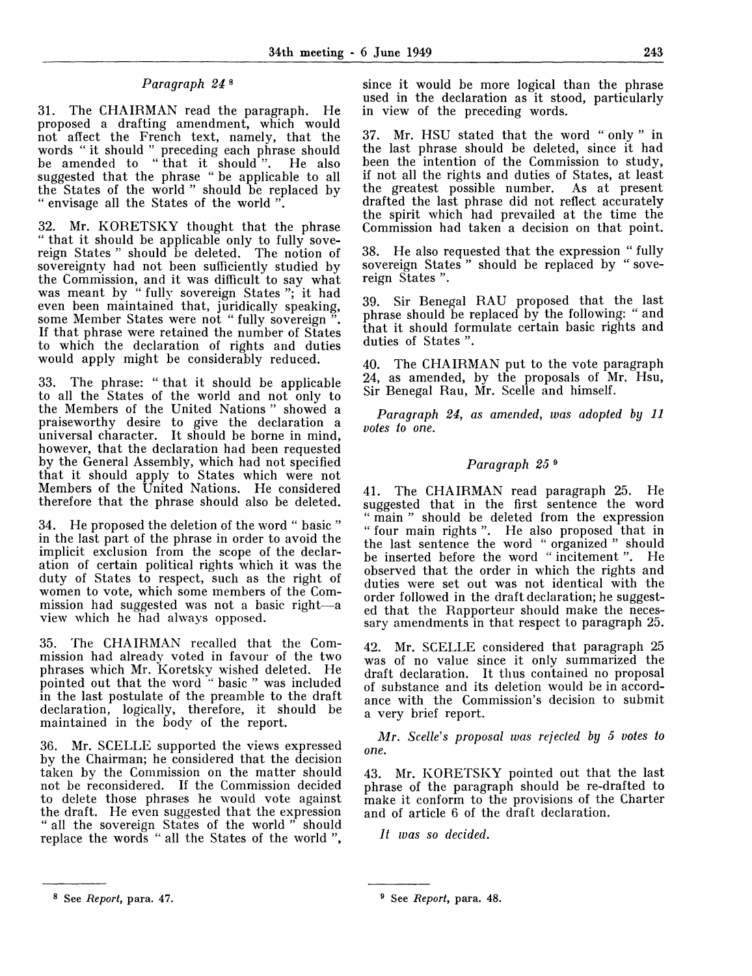# *Paragraph 24*<sup>8</sup>

31. The CHAIRMAN read the paragraph. He proposed a drafting amendment, which would not affect the French text, namely, that the words " it should " preceding each phrase should be amended to " that it should ". He also suggested that the phrase " be applicable to all the States of the world " should be replaced by " envisage all the States of the world ".

32. Mr. KORETSKY thought that the phrase " that it should be applicable only to fully sovereign States " should be deleted. The notion of sovereignty had not been sufficiently studied by the Commission, and it was difficult to say what was meant by " fully sovereign States "; it had even been maintained that, juridically speaking, some Member States were not " fully sovereign ". If that phrase were retained the number of States to which the declaration of rights and duties would apply might be considerably reduced.

33. The phrase: " that it should be applicable to all the States of the world and not only to the Members of the United Nations " showed a praiseworthy desire to give the declaration a universal character. It should be borne in mind, however, that the declaration had been requested by the General Assembly, which had not specified that it should apply to States which were not Members of the United Nations. He considered therefore that the phrase should also be deleted.

34. He proposed the deletion of the word " basic " in the last part of the phrase in order to avoid the implicit exclusion from the scope of the declaration of certain political rights which it was the duty of States to respect, such as the right of women to vote, which some members of the Commission had suggested was not a basic right—a view which he had always opposed.

35. The CHAIRMAN recalled that the Commission had already voted in favour of the two phrases which Mr. Koretsky wished deleted. He pointed out that the word " basic " was included in the last postulate of the preamble to the draft declaration, logically, therefore, it should be maintained in the body of the report.

36. Mr. SCELLE supported the views expressed by the Chairman; he considered that the decision taken by the Commission on the matter should not be reconsidered. If the Commission decided to delete those phrases he would vote against the draft. He even suggested that the expression " all the sovereign States of the world " should replace the words " all the States of the world ",

since it would be more logical than the phrase used in the declaration as it stood, particularly in view of the preceding words.

37. Mr. HSU stated that the word " only " in the last phrase should be deleted, since it had been the intention of the Commission to study, if not all the rights and duties of States, at least the greatest possible number. As at present drafted the last phrase did not reflect accurately the spirit which had prevailed at the time the Commission had taken a decision on that point.

38. He also requested that the expression " fully sovereign States" should be replaced by "sovereign States ".

39. Sir Benegal RAU proposed that the last  $\frac{1}{2}$  phrase should be replaced by the following: " and that it should formulate certain basic rights and duties of States ".

40. The CHAIRMAN put to the vote paragraph 24, as amended, by the proposals of Mr. Hsu, Sir Benegal Rau, Mr. Scelle and himself.

*Paragraph 24, as amended, was adopted by 11 votes to one.*

# *Paragraph 25*<sup>9</sup>

41. The CHAIRMAN read paragraph 25. He suggested that in the first sentence the word " main " should be deleted from the expression " four main rights ". He also proposed that in the last sentence the word " organized " should be inserted before the word " incitement ". He observed that the order in which the rights and duties were set out was not identical with the order followed in the draft declaration; he suggested that the Rapporteur should make the necessary amendments in that respect to paragraph 25.

42. Mr. SCELLE considered that paragraph 25 was of no value since it only summarized the draft declaration. It thus contained no proposal of substance and its deletion would be in accordance with the Commission's decision to submit a very brief report.

*Mr. Scelle's proposal was rejected by 5 votes to one.*

43. Mr. KORETSKY pointed out that the last phrase of the paragraph should be re-drafted to make it conform to the provisions of the Charter and of article 6 of the draft declaration.

*It was so decided.*

<sup>8</sup> See *Report,* para. 47.

<sup>9</sup> See *Report,* para. 48.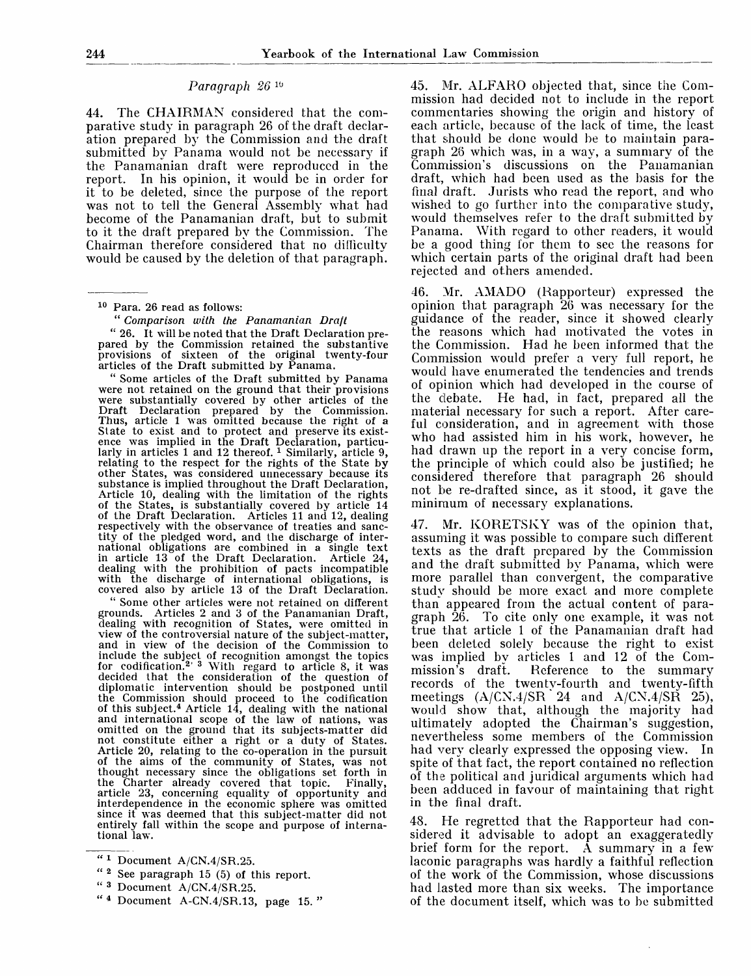# Paragraph 26<sup>16</sup>

44. The CHAIRMAN considered that the comparative study in paragraph 26 of the draft declaration prepared by the Commission and the draft submitted by Panama would not be necessary if the Panamanian draft were reproduced in the report. In his opinion, it would be in order for it to be deleted, since the purpose of the report was not to tell the General Assembly what had become of the Panamanian draft, but to submit to it the draft prepared by the Commission. The Chairman therefore considered that no difficulty would be caused by the deletion of that paragraph.

10 Para. 26 read as follows:

" *Comparison with the Panamanian Draft*

*"* 26. It will be noted that the Draft Declaration prepared by the Commission retained the substantive provisions of sixteen of the original twenty-four articles of the Draft submitted by Panama.

" Some articles of the Draft submitted by Panama were not retained on the ground that their provisions were substantially covered by other articles of the Draft Declaration prepared by the Commission. Thus, article 1 was omitted because the right of a State to exist and to protect and preserve its existence was implied in the Draft Declaration, particuarty in articles 1 and 12 thereof.  $\frac{1}{1}$  Similarly, article 9, relating to the respect for the rights of the State by other States, was considered unnecessary because its substance is implied throughout the Draft Declaration, Article 10, dealing with the limitation of the rights of the States, is substantially covered by article 14 of the Draft Declaration. Articles 11 and 12, dealing respectively with the observance of treaties and sanctity of the pledged word, and the discharge of international obligations are combined in a single text in article 13 of the Draft Declaration. Article 24, dealing with the prohibition of pacts incompatible with the discharge of international obligations, is covered also by article 13 of the Draft Declaration.

" Some other articles were not retained on different grounds. Articles 2 and 3 of the Panamanian Draft, dealing with recognition of States, were omitted in view of the controversial nature of the subject-matter, and in view of the decision of the Commission to include the subject of recognition amongst the topics<br>for codification.<sup>2</sup> <sup>3</sup> With regard to article 8, it was decided that the consideration of the question of diplomatic intervention should be postponed until the Commission should proceed to the codification of this subject.<sup>4</sup> Article 14, dealing with the national and international scope of the law of nations, was omitted on the ground that its subjects-matter did not constitute either a right or a duty of States. Article 20, relating to the co-operation in the pursuit of the aims of the community of States, was not thought necessary since the obligations set forth in the Charter already covered that topic. Finally, article 23, concerning equality of opportunity and interdependence in the economic sphere was omitted since it was deemed that this subject-matter did not entirely fall within the scope and purpose of international law.

- " <sup>2</sup> See paragraph 15 (5) of this report.
- " <sup>3</sup> Document A/CN.4/SR.25.
- " <sup>4</sup> Document A-CN.4/SR.13, page 15.

45. Mr. ALFARO objected that, since the Commission had decided not to include in the report commentaries showing the origin and history of each article, because of the lack of time, the least that should be done would be to maintain paragraph 26 which was, in a way, a summary of the Commission's discussions on the Panamanian draft, which had been used as the basis for the final draft. Jurists who read the report, and who wished to go further into the comparative study, would themselves refer to the draft submitted by Panama. With regard to other readers, it would be a good thing for them to see the reasons for which certain parts of the original draft had been rejected and others amended.

46. Mr. AMADO (Rapporteur) expressed the opinion that paragraph 26 was necessary for the guidance of the reader, since it showed clearly the reasons which had motivated the votes in the Commission. Had he been informed that the Commission would prefer a very full report, he would have enumerated the tendencies and trends of opinion which had developed in the course of the debate. He had, in fact, prepared all the material necessary for such a report. After careful consideration, and in agreement with those who had assisted him in his work, however, he had drawn up the report in a very concise form, the principle of which could also be justified; he considered therefore that paragraph 26 should not be re-drafted since, as it stood, it gave the minimum of necessary explanations.

47. Mr. KORETSKY was of the opinion that, assuming it was possible to compare such different texts as the draft prepared by the Commission and the draft submitted by Panama, which were more parallel than convergent, the comparative study should be more exact and more complete than appeared from the actual content of paragraph 26. To cite only one example, it was not true that article 1 of the Panamanian draft had been deleted solely because the right to exist was implied by articles 1 and 12 of the Com-<br>mission's draft. Reference to the summary Reference to the summary records of the twenty-fourth and twentv-fifth meetings  $(A/CN.4/SR 24$  and  $A/CN.4/SR 25$ , would show that, although the majority had ultimately adopted the Chairman's suggestion, nevertheless some members of the Commission had very clearly expressed the opposing view. In spite of that fact, the report contained no reflection of the political and juridical arguments which had been adduced in favour of maintaining that right in the final draft.

48. He regretted that the Rapporteur had considered it advisable to adopt an exaggeratedly brief form for the report. A summary in a few laconic paragraphs was hardly a faithful reflection of the work of the Commission, whose discussions had lasted more than six weeks. The importance of the document itself, which was to be submitted

 $"1$  Document A/CN.4/SR.25.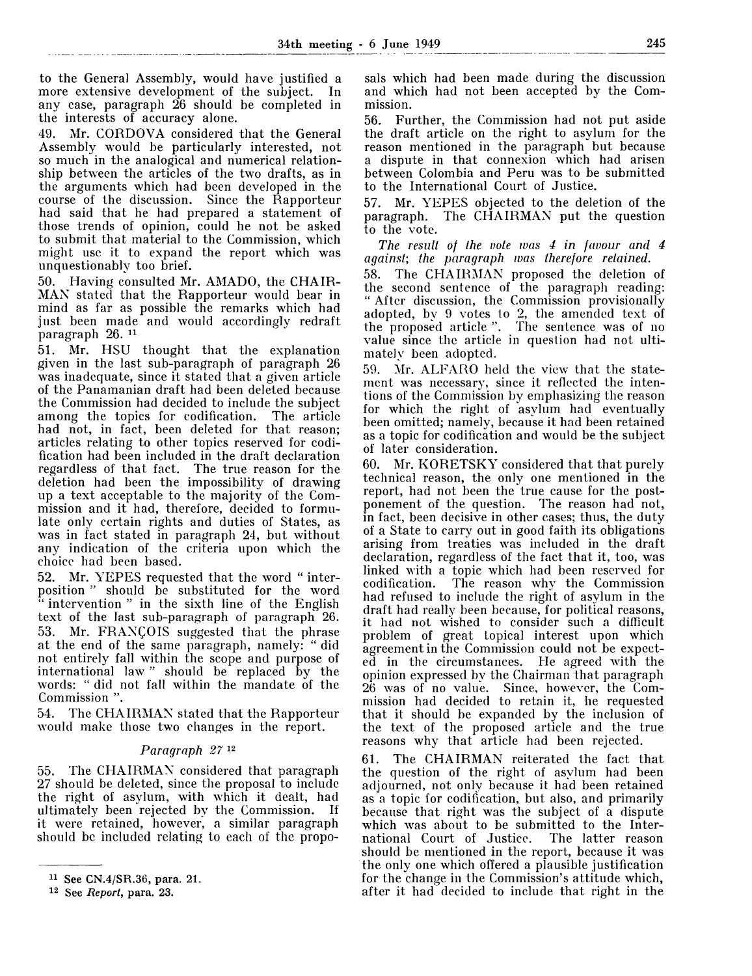to the Genera] Assembly, would have justified a more extensive development of the subject. In any case, paragraph 26 should be completed in the interests of accuracy alone.

49. Mr. CORDOVA considered that the General Assembly would be particularly interested, not so much in the analogical and numerical relationship between the articles of the two drafts, as in the arguments which had been developed in the course of the discussion. Since the Rapporteur had said that he had prepared a statement of those trends of opinion, could he not be asked to submit that material to the Commission, which might use it to expand the report which was unquestionably too brief.

50. Having consulted Mr. AMADO, the CHAIR-MAN stated that the Rapporteur would bear in mind as far as possible the remarks which had just been made and would accordingly redraft paragraph 26.<sup>11</sup>

51. Mr. HSU thought that the explanation given in the last sub-paragraph of paragraph 26 was inadequate, since it stated that a given article of the Panamanian draft had been deleted because the Commission had decided to include the subject among the topics for codification. had not, in fact, been deleted for that reason; articles relating to other topics reserved for codification had been included in the draft declaration regardless of that fact. The true reason for the deletion had been the impossibility of drawing up a text acceptable to the majority of the Commission and it had, therefore, decided to formulate only certain rights and duties of States, as was in fact stated in paragraph 24, but without any indication of the criteria upon which the choice had been based.

52. Mr. YEPES requested that the word " interposition " should be substituted for the word " intervention" in the sixth line of the English text of the last sub-paragraph of paragraph 26. 53. Mr. FRANCOIS suggested that the phrase at the end of the same paragraph, namely: " did not entirely fall within the scope and purpose of international law " should be replaced by the words: " did not fall within the mandate of the Commission ".

54. The CHAIRMAN stated that the Rapporteur would make those two changes in the report.

## *Paragraph 27™*

55. The CHAIRMAN considered that paragraph 27 should be deleted, since the proposal to include the right of asylum, with which it dealt, had ultimately been rejected by the Commission. If it were retained, however, a similar paragraph should be included relating to each of the proposals which had been made during the discussion and which had not been accepted by the Commission.

56. Further, the Commission had not put aside the draft article on the right to asylum for the reason mentioned in the paragraph but because a dispute in that connexion which had arisen between Colombia and Peru was to be submitted to the International Court of Justice.

57. Mr. YEPES objected to the deletion of the paragraph. The CHAIRMAN put the question to the vote.

*The result of the vote was 4 in favour and 4 against; the paragraph was therefore retained.*

58. The CHAIRMAN proposed the deletion of the second sentence of the paragraph reading: " After discussion, the Commission provisionally adopted, by 9 votes to 2, the amended text of the proposed article ". The sentence was of no value since the article in question had not ultimately been adopted.

59. Mr. ALFARO held the view that the statement was necessary, since it reflected the intentions of the Commission by emphasizing the reason for which the right of asylum had eventually been omitted; namely, because it had been retained as a topic for codification and would be the subject of later consideration.

60. Mr. KORETSKY considered that that purely technical reason, the only one mentioned in the report, had not been the true cause for the postponement of the question. The reason had not, in fact, been decisive in other cases; thus, the duty of a State to carry out in good faith its obligations arising from treaties was included in the draft declaration, regardless of the fact that it, too, was linked with a topic which had been reserved for codification. The reason why the Commission had refused to include the right of asylum in the draft had really been because, for political reasons, it had not wished to consider such a difficult problem of great topical interest upon which agreement in the Commission could not be expected in the circumstances. He agreed with the opinion expressed by the Chairman that paragraph 26 was of no value. Since, however, the Commission had decided to retain it, he requested that it should be expanded by the inclusion of the text of the proposed article and the true reasons why that article had been rejected.

61. The CHAIRMAN reiterated the fact that the question of the right of asylum had been adjourned, not only because it had been retained as a topic for codification, but also, and primarily because that right was the subject of a dispute which was about to be submitted to the Inter-<br>national Court of Justice. The latter reason national Court of Justice. should be mentioned in the report, because it was the only one which offered a plausible justification for the change in the Commission's attitude which, after it had decided to include that right in the

<sup>11</sup> See CN.4/SR.36, para. 21.

<sup>12</sup> See *Report,* para. 23.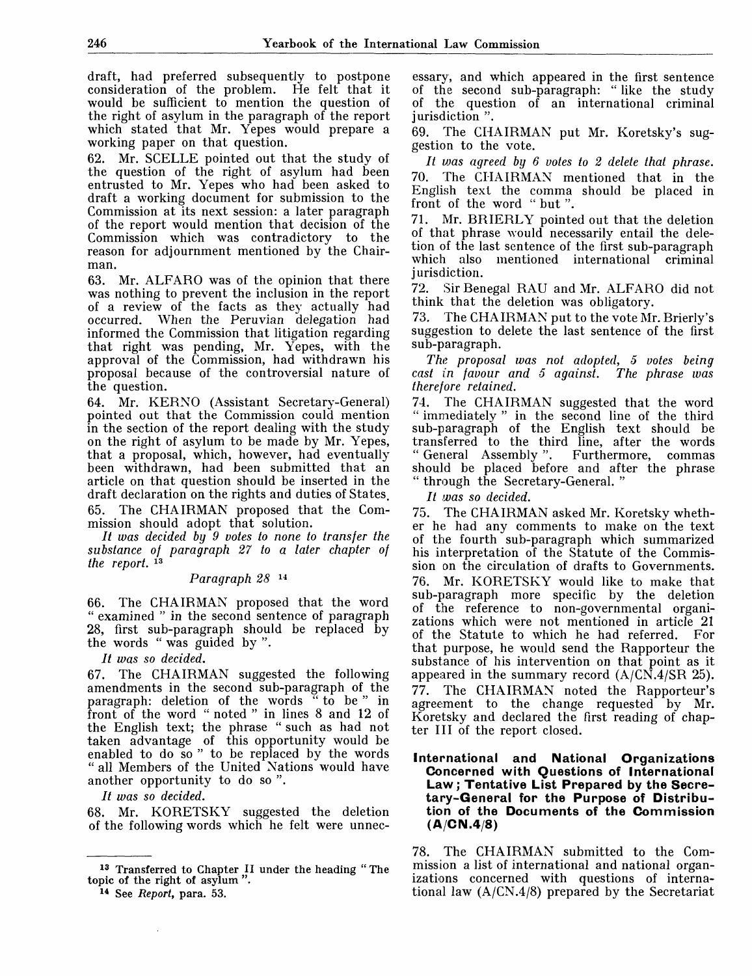draft, had preferred subsequently to postpone consideration of the problem. He felt that it would be sufficient to mention the question of the right of asylum in the paragraph of the report which stated that Mr. Yepes would prepare a working paper on that question.

62. Mr. SCELLE pointed out that the study of the question of the right of asylum had been entrusted to Mr. Yepes who had been asked to draft a working document for submission to the Commission at its next session: a later paragraph of the report would mention that decision of the Commission which was contradictory to the reason for adjournment mentioned by the Chairman.

63. Mr. ALFARO was of the opinion that there was nothing to prevent the inclusion in the report of a review of the facts as they actually had<br>occurred. When the Peruvian delegation had When the Peruvian delegation had informed the Commission that litigation regarding that right was pending, Mr. Yepes, with the approval of the Commission, had withdrawn his proposal because of the controversial nature of the question.

64. Mr. KERNO (Assistant Secretary-General) pointed out that the Commission could mention in the section of the report dealing with the study on the right of asylum to be made by Mr. Yepes, that a proposal, which, however, had eventually been withdrawn, had been submitted that an article on that question should be inserted in the draft declaration on the rights and duties of States. 65. The CHAIRMAN proposed that the Commission should adopt that solution.

// *was decided by 9 votes to none to transfer the substance of paragraph 27 to a later chapter of* the report.<sup>13</sup>

## *Paragraph 28*<sup>14</sup>

66. The CHAIRMAN proposed that the word " examined " in the second sentence of paragraph 28, first sub-paragraph should be replaced by the words " was guided by ".

// *was so decided.*

67. The CHAIRMAN suggested the following amendments in the second sub-paragraph of the paragraph: deletion of the words " to be " in front of the word " noted " in lines 8 and 12 of the English text; the phrase " such as had not taken advantage of this opportunity would be enabled to do so " to be replaced by the words " all Members of the United Nations would have another opportunity to do so ".

// *was so decided.*

68. Mr. KORETSKY suggested the deletion of the following words which he felt were unnec-

 $\bar{z}$ 

essary, and which appeared in the first sentence of the second sub-paragraph: " like the study of the question of an international criminal jurisdiction ".

69. The CHAIRMAN put Mr. Koretsky's suggestion to the vote.

*It ujas agreed by 6 votes to 2 delete that phrase.* 70. The CHAIRMAN mentioned that in the English text the comma should be placed in front of the word " but ".

71. Mr. BRIERLY pointed out that the deletion of that phrase would necessarily entail the deletion of the last sentence of the first sub-paragraph which also mentioned international criminal jurisdiction.

72. Sir Benegal RAU and Mr. ALFARO did not think that the deletion was obligatory.

73. The CHAIRMAN put to the vote Mr. Brierly's suggestion to delete the last sentence of the first sub-paragraph.

*The proposal was not adopted, 5 votes being cast in favour and 5 against. The phrase was therefore retained.*

74. The CHAIRMAN suggested that the word " immediately " in the second line of the third sub-paragraph of the English text should be transferred to the third line, after the words " General Assembly ". Furthermore, commas should be placed before and after the phrase " through the Secretary-General. "

*It was so decided.*

75. The CHAIRMAN asked Mr. Koretsky whether he had any comments to make on the text of the fourth sub-paragraph which summarized his interpretation of the Statute of the Commission on the circulation of drafts to Governments. 76. Mr. KORETSKY would like to make that sub-paragraph more specific by the deletion of the reference to non-governmental organizations which were not mentioned in article 21 of the Statute to which he had referred. For that purpose, he would send the Rapporteur the substance of his intervention on that point as it appeared in the summary record  $(A/CN.4/SR 25)$ . 77. The CHAIRMAN noted the Rapporteur's agreement to the change requested by Mr. Koretsky and declared the first reading of chapter III of the report closed.

### **International and National Organizations Concerned with Questions of International Law; Tentative List Prepared by the Secretary-General for the Purpose of Distribution of the Documents of the Commission (A/CN.4/8)**

78. The CHAIRMAN submitted to the Commission a list of international and national organizations concerned with questions of international law (A/CN.4/8) prepared by the Secretariat

<sup>&</sup>lt;sup>13</sup> Transferred to Chapter II under the heading "The topic of the right of asylum ".

<sup>14</sup> See *Report,* para. 53.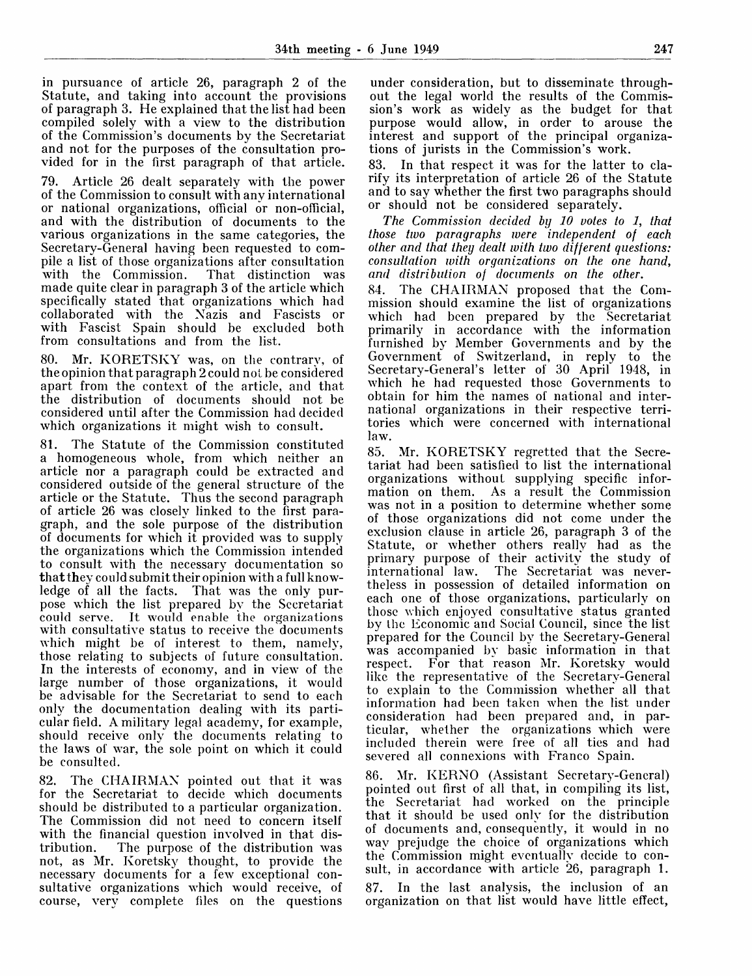in pursuance of article 26, paragraph 2 of the Statute, and taking into account the provisions of paragraph 3. He explained that the list had been compiled solely with a view to the distribution of the Commission's documents by the Secretariat and not for the purposes of the consultation provided for in the first paragraph of that article.

79. Article 26 dealt separately with the power of the Commission to consult with any international or national organizations, official or non-official, and with the distribution of documents to the various organizations in the same categories, the Secretary-General having been requested to compile a list of those organizations after consultation<br>with the Commission. That distinction was with the Commission. made quite clear in paragraph 3 of the article which specifically stated that organizations which had collaborated with the Nazis and Fascists or with Fascist Spain should be excluded both from consultations and from the list.

80. Mr. KORETSKY was, on the contrary, of the opinion that paragraph 2 could not be considered apart from the context of the article, and that the distribution of documents should not be considered until after the Commission had decided which organizations it might wish to consult.

81. The Statute of the Commission constituted a homogeneous whole, from which neither an article nor a paragraph could be extracted and considered outside of the general structure of the article or the Statute. Thus the second paragraph of article 26 was closely linked to the first paragraph, and the sole purpose of the distribution of documents for which it provided was to supply the organizations which the Commission intended to consult with the necessary documentation so that they could submit their opinion with a full knowledge of all the facts. That was the only purpose which the list prepared by the Secretariat could serve. It would enable the organizations with consultative status to receive the documents which might be of interest to them, namely, those relating to subjects of future consultation. In the interests of economy, and in view of the large number of those organizations, it would be advisable for the Secretariat to send to each only the documentation dealing with its particular field. A military legal academy, for example, should receive only the documents relating to the laws of war, the sole point on which it could be consulted.

82. The CHAIRMAN pointed out that it was for the Secretariat to decide which documents should be distributed to a particular organization. The Commission did not need to concern itself with the financial question involved in that distribution. The purpose of the distribution was not, as Mr. Koretsky thought, to provide the necessary documents for a few exceptional consultative organizations which would receive, of course, very complete files on the questions

under consideration, but to disseminate throughout the legal world the results of the Commission's work as widely as the budget for that purpose would allow, in order to arouse the interest and support of the principal organizations of jurists in the Commission's work.

83. In that respect it was for the latter to clarify its interpretation of article 26 of the Statute and to say whether the first two paragraphs should or should not be considered separately.

*The Commission decided by 10 votes to 1, that those two paragraphs were independent of each other and that they dealt with two different questions: consultation with organizations on the one hand, and distribution of documents on the other.*

84. The CHAIRMAN proposed that the Commission should examine the list of organizations which had been prepared by the Secretariat primarily in accordance with the information furnished by Member Governments and by the Government of Switzerland, in reply to the Secretary-General's letter of 30 April 1948, in which he had requested those Governments to obtain for him the names of national and international organizations in their respective territories which were concerned with international law.

85. Mr. KORETSKY regretted that the Secretariat had been satisfied to list the international organizations without supplying specific information on them. As a result the Commission was not in a position to determine whether some of those organizations did not come under the exclusion clause in article 26, paragraph 3 of the Statute, or whether others really had as the primary purpose of their activity the study of international law. The Secretariat was nevertheless in possession of detailed information on each one of those organizations, particularly on those which enjoyed consultative status granted by Ihe Economic and Social Council, since the list prepared for the Council by the Secretary-General was accompanied by basic information in that respect. For that reason Mr. Koretsky would like the representative of the Secretary-General to explain to the Commission whether all that information had been taken when the list under consideration had been prepared and, in particular, whether the organizations which were included therein were free of all ties and had severed all connexions with Franco Spain.

86. Mr. KERNO (Assistant Secretary-General) pointed out first of all that, in compiling its list, the Secretariat had worked on the principle that it should be used only for the distribution of documents and, consequently, it would in no way prejudge the choice of organizations which the Commission might eventually decide to consult, in accordance with article 26, paragraph 1. 87. In the last analysis, the inclusion of an organization on that list would have little effect,